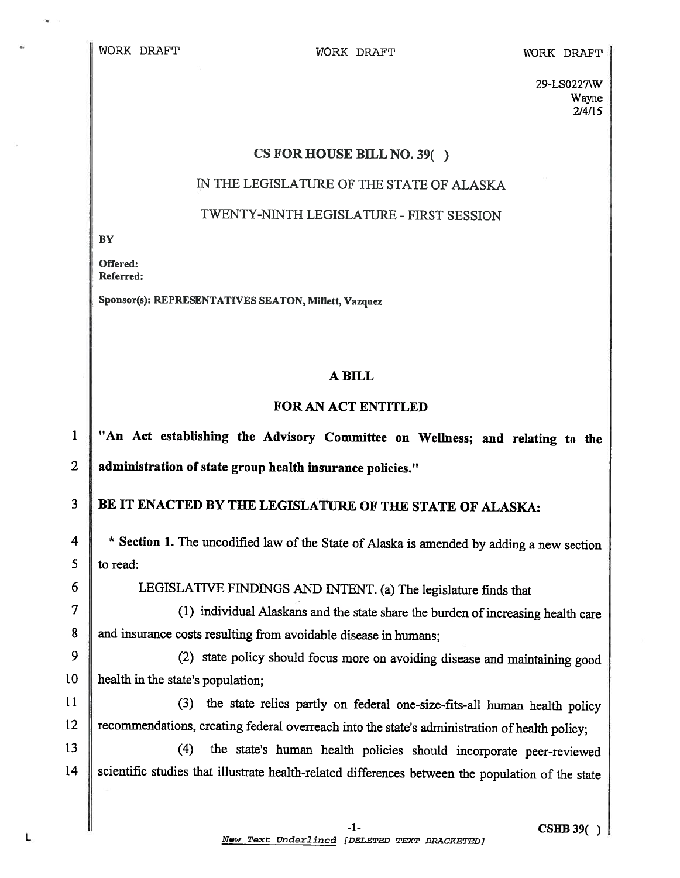29-LS0227\W Wayne 2/4/15

#### CS FOR HOUSE BILL NO. 39()

# TN THE LEGISLATURE OF THE STATE OF ALASKA

### TWENTY-NiNTH LEGISLATURE -FIRST SESSION

**BY** 

Offered: Referred:

Sponsor(s): REPRESENTATWES SEATON, Milett, Vazquez

#### A BILL

## FOR AN ACT ENTITLED

<sup>1</sup> "An Act establishing the Advisory Committee on Weilness; and relating to the 2 administration of state group health insurance policies."

# 3 BE IT ENACTED BY THE LEGISLATURE OF THE STATE OF ALASKA:

<sup>4</sup> \* Section 1. The uncodified law of the State of Alaska is amended by adding a new section  $5 \parallel$  to read:

6 CEGISLATIVE FINDINGS AND INTENT. (a) The legislature finds that

<sup>7</sup> (1) individual Alaskans and the state share the burden of increasing health care 8 and insurance costs resulting from avoidable disease in humans;

<sup>9</sup> (2) state policy should focus more on avoiding disease and maintaining good 10 | health in the state's population;

11 (3) the state relies partly on federal one-size-fits-all human health policy 12 Tecommendations, creating federal overreach into the state's administration of health policy;

<sup>13</sup> (4) the state's human health policies should incorporate peer-reviewed 14 Scientific studies that illustrate health-related differences between the population of the state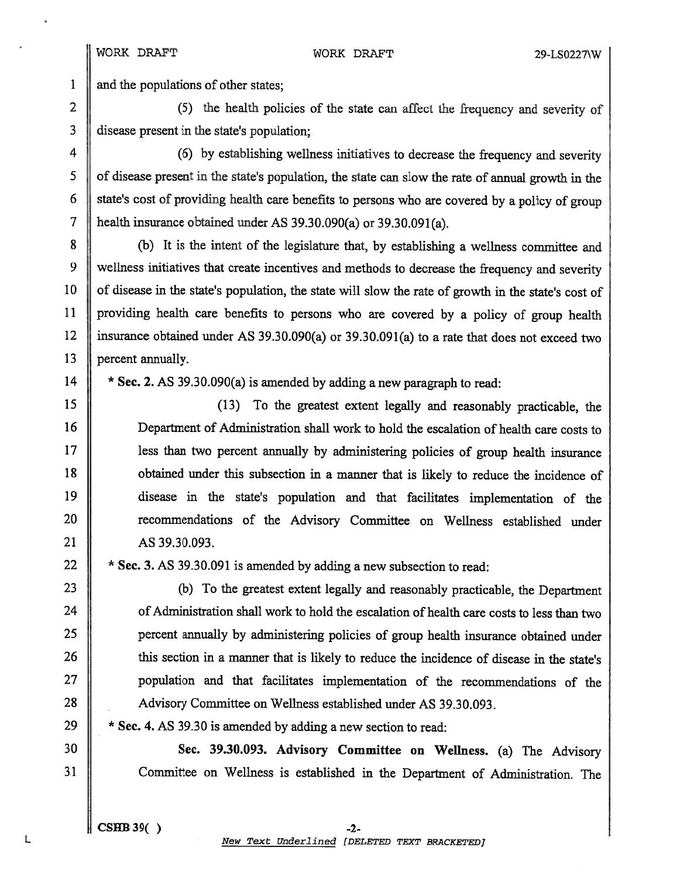1 and the populations of other states;

2 (5) the health policies of the state can affect the frequency and severity of  $3$  disease present in the state's population;

4 (6) by establishing wellness initiatives to decrease the frequency and severity <sup>5</sup> of disease presen<sup>t</sup> in the state's population, the state can slow the rate of annual growth in the  $6 \parallel$  state's cost of providing health care benefits to persons who are covered by a policy of group <sup>7</sup> health insurance obtained under AS 39.30.090(a) or 39.30.091(a).

8 (b) It is the intent of the legislature that, by establishing a wellness committee and 9 wellness initiatives that create incentives and methods to decrease the frequency and severity 10 | of disease in the state's population, the state will slow the rate of growth in the state's cost of <sup>11</sup> providing health care benefits to persons who are covered by <sup>a</sup> policy of group health 12 insurance obtained under AS 39.30.090(a) or 39.30.091(a) to <sup>a</sup> rate that does not exceed two 13 **percent annually.** 

14  $\parallel$  \* Sec. 2. AS 39.30.090(a) is amended by adding a new paragraph to read:

 (13) To the greatest extent legally and reasonably practicable, the Department of Administration shall work to hold the escalation of health care costs to **less** than two percent annually by administering policies of group health insurance **obtained under this subsection in a manner that is likely to reduce the incidence of**  disease in the state's population and that facilitates implementation of the 20 Tecommendations of the Advisory Committee on Wellness established under AS 39.30.093.

22  $\parallel$  \* Sec. 3. AS 39.30.091 is amended by adding a new subsection to read:

 (b) To the greatest extent legally and reasonably practicable, the Department **of Administration shall work to hold the escalation of health care costs to less than two**  percen<sup>t</sup> annualiy by administering policies of group health insurance obtained under 26 this section in a manner that is likely to reduce the incidence of disease in the state's population and that facilitates implementation of the recommendations of the 28 Advisory Committee on Wellness established under AS 39.30.093.

29  $\parallel$  \* Sec. 4. AS 39.30 is amended by adding a new section to read:

<sup>30</sup> Sec. 39.30.093. Advisory Committee on Weliness. (a) The Advisory <sup>31</sup> Committee on Weilness is established in the Department of Administration. The

 $CSHB39()$   $-2-$ New Text Underlined (DELETED TEXT BRACKETED)

L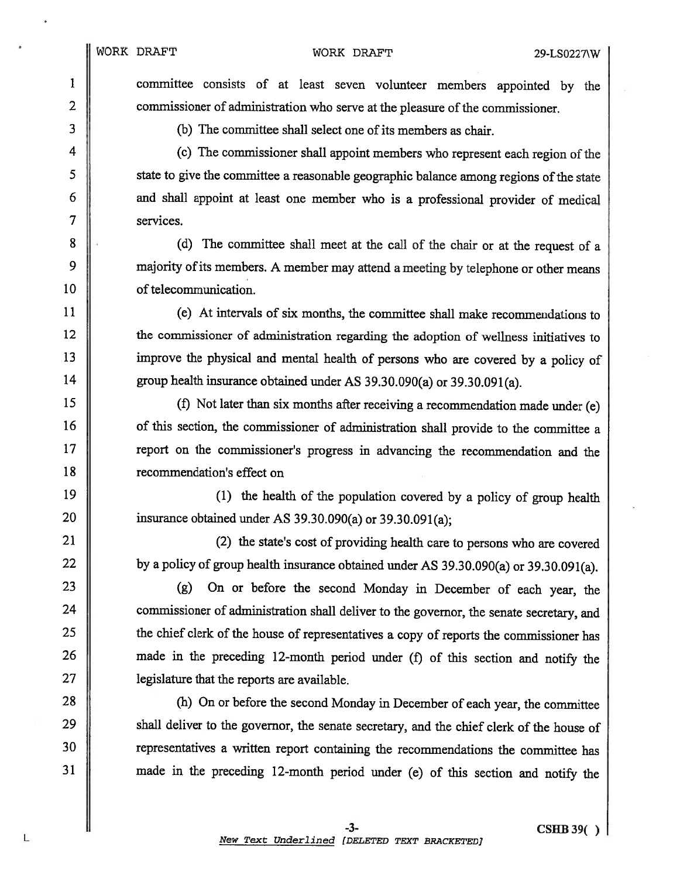1 committee consists of at least seven volunteer members appointed by the 2 commissioner of administration who serve at the pleasure of the commissioner.

3 (b) The committee shall select one of its members as chair.

<sup>4</sup> (c) The commissioner shall appoint members who represent each region of the 5 state to give the committee a reasonable geographic balance among regions of the state 6 and shall appoint at least one member who is a professional provider of medical 7 services.

8 (d) The committee shall meet at the call of the chair or at the request of a 9 majority of its members. A member may attend a meeting by telephone or other means 10 **I** of telecommunication.

 (e) At intervals of six months, the committee shall make recommendations to **the commissioner of administration regarding the adoption of wellness initiatives to**  improve the <sup>p</sup>hysical and mental health of persons who are covered by <sup>a</sup> policy of 14 group health insurance obtained under AS 39.30.090(a) or 39.30.091(a).

 (f) Not later than six months after receiving <sup>a</sup> recommendation made under (e) 16 of this section, the commissioner of administration shall provide to the committee a **I** report on the commissioner's progress in advancing the recommendation and the **T** recommendation's effect on

19  $\parallel$  (1) the health of the population covered by a policy of group health 20  $\parallel$  insurance obtained under AS 39.30.090(a) or 39.30.091(a);

21 || (2) the state's cost of providing health care to persons who are covered 22  $\parallel$  by a policy of group health insurance obtained under AS 39.30.090(a) or 39.30.091(a).

 (g) On or before the second Monday in December of each year, the **commissioner of administration shall deliver to the governor, the senate secretary, and the chief clerk of the house of representatives a copy of reports the commissioner has** 26 made in the preceding 12-month period under (f) of this section and notify the **legislature that the reports are available.** 

28 (h) On or before the second Monday in December of each year, the committee <sup>29</sup> shall deliver to the governor, the senate secretary, and the chief clerk of the house of 30 Tepresentatives a written report containing the recommendations the committee has <sup>31</sup> made in the preceding 12-month period under (e) of this section and notify the